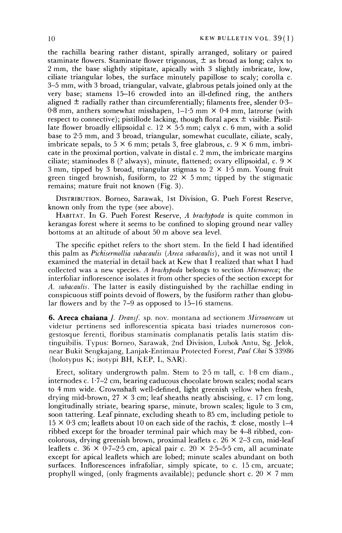**the rachilla bearing rather distant, spirally arranged, solitary or paired**  staminate flowers. Staminate flower trigonous,  $\pm$  as broad as long; calyx to **2 mm, the base slightly stipitate, apically with 3 slightly imbricate, low, ciliate triangular lobes, the surface minutely papillose to scaly; corolla c. 3-5 mm, with 3 broad, triangular, valvate, glabrous petals joined only at the very base; stamens 15-16 crowded into an ill-defined ring, the anthers**  aligned  $\pm$  radially rather than circumferentially; filaments free, slender 0.3– **0-8 mm, anthers somewhat misshapen, 1-1-5 mm X 0-4 mm, latrorse (with**  respect to connective); pistillode lacking, though floral apex  $\pm$  visible. Pistil**late flower broadly ellipsoidal c. 12 X 5-5 mm; calyx c. 6 mm, with a solid base to 2-5 mm, and 3 broad, triangular, somewhat cucullate, ciliate, scaly,**  imbricate sepals, to  $5 \times 6$  mm; petals 3, free glabrous, c.  $9 \times 6$  mm, imbri**cate in the proximal portion, valvate in distal c. 2 mm, the imbricate margins ciliate; staminodes 8 (? always), minute, flattened; ovary ellipsoidal, c. 9 x 3 mm, tipped by 3 broad, triangular stigmas to 2 x 1-5 mm. Young fruit green tinged brownish, fusiform, to 22 x 5 mm; tipped by the stigmatic remains; mature fruit not known (Fig. 3).** 

**DISTRIBUTION. Borneo, Sarawak, 1st Division, G. Pueh Forest Reserve, known only from the type (see above).** 

**HABITAT. In G. Pueh Forest Reserve, A brachypoda is quite common in kerangas forest where it seems to be confined to sloping ground near valley bottoms at an altitude of about 50 m above sea level.** 

**The specific epithet refers to the short stem. In the field I had identified this palm as Pichisermollia subacaulis (Areca subacaulis), and it was not until I examined the material in detail back at Kew that I realized that what I had collected was a new species. A brachypoda belongs to section Microareca; the interfoliar inflorescence isolates it from other species of the section except for A. subacaulis. The latter is easily distinguished by the rachillae ending in conspicuous stiff points devoid of flowers, by the fusiform rather than globular flowers and by the 7-9 as opposed to 15-16 stamens.** 

**6. Areca chaiana** *J. Dransf.* sp. nov. montana ad sectionem *Microarecam* ut **videtur pertinens sed inflorescentia spicata basi triades numerosos congestosque ferenti, floribus staminatis complanatis petalis latis statim distinguibilis. Typus: Borneo, Sarawak, 2nd Division, Lubok Antu, Sg. Jelok, near Bukit Sengkajang, Lanjak-Entimau Protected Forest, Paul Chai S 33986 (holotypus K; isotypi BH, KEP, L, SAR).** 

**Erect, solitary undergrowth palm. Stem to 2-5 m tall, c. 1-8 cm diam., internodes c. 1-7-2 cm, bearing caducous chocolate brown scales; nodal scars to 4 mm wide. Crownshaft well-defined, light greenish yellow when fresh, drying mid-brown, 27 x 3 cm; leaf sheaths neatly abscising, c. 17 cm long, longitudinally striate, bearing sparse, minute, brown scales; ligule to 3 cm, soon tattering. Leaf pinnate, excluding sheath to 85 cm, including petiole to**   $15 \times 0.3$  cm; leaflets about 10 on each side of the rachis,  $\pm$  close, mostly 1–4 **ribbed except for the broader terminal pair which may be 4-8 ribbed, concolorous, drying greenish brown, proximal leaflets c. 26 x 2-3 cm, mid-leaf**  leaflets c.  $36 \times 0.7{\text -}2.5$  cm, apical pair c.  $20 \times 2.5{\text -}5.5$  cm, all acuminate **except for apical leaflets which are lobed; minute scales abundant on both surfaces. Inflorescences infrafoliar, simply spicate, to c. 15 cm, arcuate;**  prophyll winged, (only fragments available); peduncle short c.  $20 \times 7$  mm